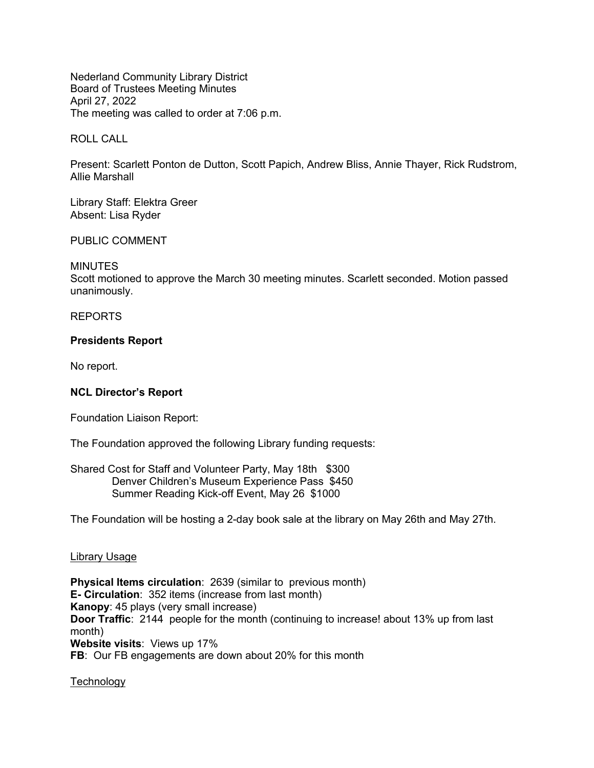Nederland Community Library District Board of Trustees Meeting Minutes April 27, 2022 The meeting was called to order at 7:06 p.m.

ROLL CALL

Present: Scarlett Ponton de Dutton, Scott Papich, Andrew Bliss, Annie Thayer, Rick Rudstrom, Allie Marshall

Library Staff: Elektra Greer Absent: Lisa Ryder

### PUBLIC COMMENT

#### MINUTES

Scott motioned to approve the March 30 meeting minutes. Scarlett seconded. Motion passed unanimously.

#### REPORTS

#### **Presidents Report**

No report.

## **NCL Director's Report**

Foundation Liaison Report:

The Foundation approved the following Library funding requests:

Shared Cost for Staff and Volunteer Party, May 18th \$300 Denver Children's Museum Experience Pass \$450 Summer Reading Kick-off Event, May 26 \$1000

The Foundation will be hosting a 2-day book sale at the library on May 26th and May 27th.

#### Library Usage

**Physical Items circulation**: 2639 (similar to previous month) **E- Circulation**: 352 items (increase from last month) **Kanopy**: 45 plays (very small increase) **Door Traffic**: 2144 people for the month (continuing to increase! about 13% up from last month) **Website visits**: Views up 17% **FB**: Our FB engagements are down about 20% for this month

**Technology**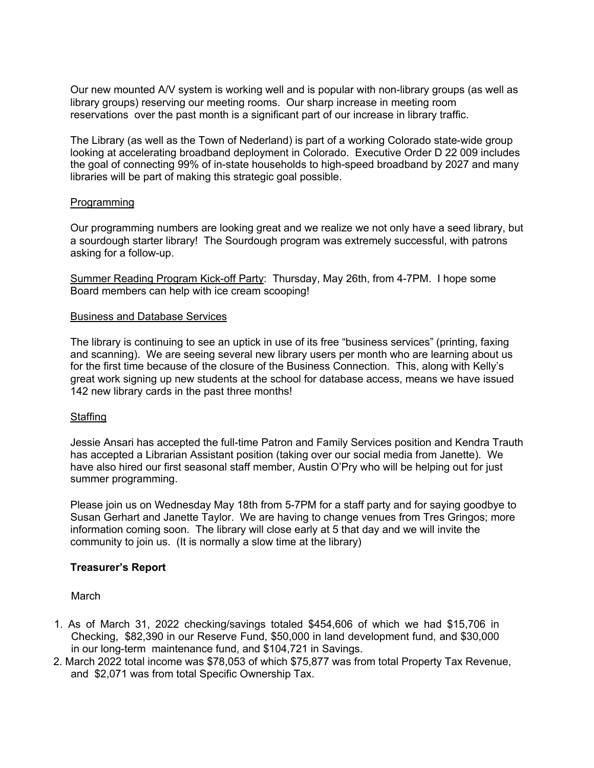Our new mounted A/V system is working well and is popular with non-library groups (as well as library groups) reserving our meeting rooms. Our sharp increase in meeting room reservations over the past month is a significant part of our increase in library traffic.

The Library (as well as the Town of Nederland) is part of a working Colorado state-wide group looking at accelerating broadband deployment in Colorado. Executive Order D 22 009 includes the goal of connecting 99% of in-state households to high-speed broadband by 2027 and many libraries will be part of making this strategic goal possible.

## **Programming**

Our programming numbers are looking great and we realize we not only have a seed library, but a sourdough starter library! The Sourdough program was extremely successful, with patrons asking for a follow-up.

Summer Reading Program Kick-off Party: Thursday, May 26th, from 4-7PM. I hope some Board members can help with ice cream scooping!

## Business and Database Services

The library is continuing to see an uptick in use of its free "business services" (printing, faxing and scanning). We are seeing several new library users per month who are learning about us for the first time because of the closure of the Business Connection. This, along with Kelly's great work signing up new students at the school for database access, means we have issued 142 new library cards in the past three months!

# Staffing

Jessie Ansari has accepted the full-time Patron and Family Services position and Kendra Trauth has accepted a Librarian Assistant position (taking over our social media from Janette). We have also hired our first seasonal staff member, Austin O'Pry who will be helping out for just summer programming.

Please join us on Wednesday May 18th from 5-7PM for a staff party and for saying goodbye to Susan Gerhart and Janette Taylor. We are having to change venues from Tres Gringos; more information coming soon. The library will close early at 5 that day and we will invite the community to join us. (It is normally a slow time at the library)

# **Treasurer's Report**

March

- 1. As of March 31, 2022 checking/savings totaled \$454,606 of which we had \$15,706 in Checking, \$82,390 in our Reserve Fund, \$50,000 in land development fund, and \$30,000 in our long-term maintenance fund, and \$104,721 in Savings.
- 2. March 2022 total income was \$78,053 of which \$75,877 was from total Property Tax Revenue, and \$2,071 was from total Specific Ownership Tax.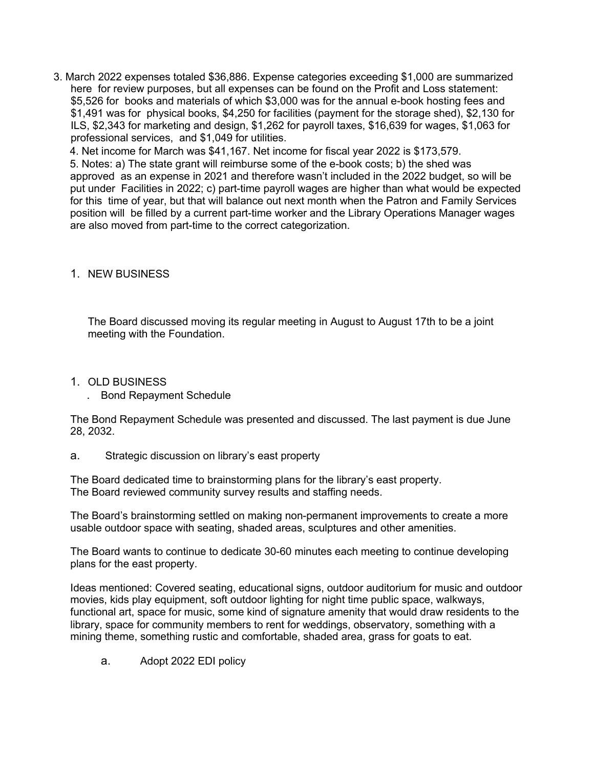3. March 2022 expenses totaled \$36,886. Expense categories exceeding \$1,000 are summarized here for review purposes, but all expenses can be found on the Profit and Loss statement: \$5,526 for books and materials of which \$3,000 was for the annual e-book hosting fees and \$1,491 was for physical books, \$4,250 for facilities (payment for the storage shed), \$2,130 for ILS, \$2,343 for marketing and design, \$1,262 for payroll taxes, \$16,639 for wages, \$1,063 for professional services, and \$1,049 for utilities.

4. Net income for March was \$41,167. Net income for fiscal year 2022 is \$173,579.

5. Notes: a) The state grant will reimburse some of the e-book costs; b) the shed was approved as an expense in 2021 and therefore wasn't included in the 2022 budget, so will be put under Facilities in 2022; c) part-time payroll wages are higher than what would be expected for this time of year, but that will balance out next month when the Patron and Family Services position will be filled by a current part-time worker and the Library Operations Manager wages are also moved from part-time to the correct categorization.

# 1. NEW BUSINESS

The Board discussed moving its regular meeting in August to August 17th to be a joint meeting with the Foundation.

## 1. OLD BUSINESS

. Bond Repayment Schedule

The Bond Repayment Schedule was presented and discussed. The last payment is due June 28, 2032.

a. Strategic discussion on library's east property

The Board dedicated time to brainstorming plans for the library's east property. The Board reviewed community survey results and staffing needs.

The Board's brainstorming settled on making non-permanent improvements to create a more usable outdoor space with seating, shaded areas, sculptures and other amenities.

The Board wants to continue to dedicate 30-60 minutes each meeting to continue developing plans for the east property.

Ideas mentioned: Covered seating, educational signs, outdoor auditorium for music and outdoor movies, kids play equipment, soft outdoor lighting for night time public space, walkways, functional art, space for music, some kind of signature amenity that would draw residents to the library, space for community members to rent for weddings, observatory, something with a mining theme, something rustic and comfortable, shaded area, grass for goats to eat.

a. Adopt 2022 EDI policy